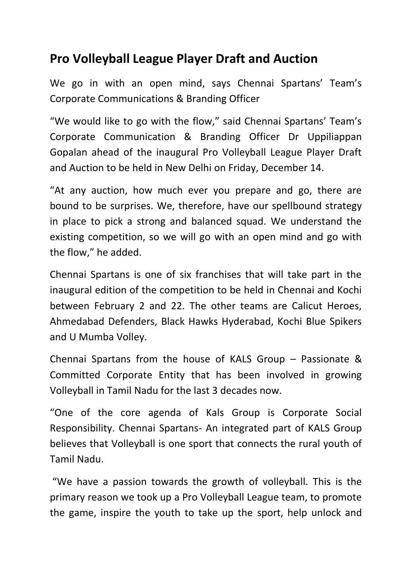## **Pro Volleyball League Player Draft and Auction**

We go in with an open mind, says Chennai Spartans' Team's Corporate Communications & Branding Officer

"We would like to go with the flow," said Chennai Spartans' Team's Corporate Communication & Branding Officer Dr Uppiliappan Gopalan ahead of the inaugural Pro Volleyball League Player Draft and Auction to be held in New Delhi on Friday, December 14.

"At any auction, how much ever you prepare and go, there are bound to be surprises. We, therefore, have our spellbound strategy in place to pick a strong and balanced squad. We understand the existing competition, so we will go with an open mind and go with the flow," he added.

Chennai Spartans is one of six franchises that will take part in the inaugural edition of the competition to be held in Chennai and Kochi between February 2 and 22. The other teams are Calicut Heroes, Ahmedabad Defenders, Black Hawks Hyderabad, Kochi Blue Spikers and U Mumba Volley.

Chennai Spartans from the house of KALS Group – Passionate & Committed Corporate Entity that has been involved in growing Volleyball in Tamil Nadu for the last 3 decades now.

"One of the core agenda of Kals Group is Corporate Social Responsibility. Chennai Spartans- An integrated part of KALS Group believes that Volleyball is one sport that connects the rural youth of Tamil Nadu.

"We have a passion towards the growth of volleyball. This is the primary reason we took up a Pro Volleyball League team, to promote the game, inspire the youth to take up the sport, help unlock and